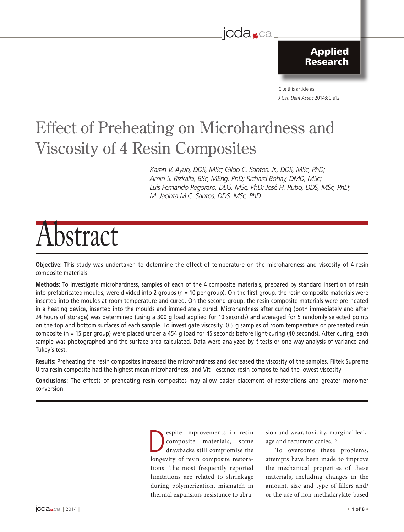### jcda<sub>sca</sub>

The Canadian Dental Association

Applied Research

Cite this article as: J Can Dent Assoc 2014;80:e12 l'Association dentaire canadienne

## Effect of Preheating on Microhardness and Viscosity of 4 Resin Composites

*Karen V. Ayub, DDS, MSc; Gildo C. Santos, Jr., DDS, MSc, PhD; Amin S. Rizkalla, BSc, MEng, PhD; Richard Bohay, DMD, MSc; Luis Fernando Pegoraro, DDS, MSc, PhD; José H. Rubo, DDS, MSc, PhD; M. Jacinta M.C. Santos, DDS, MSc, PhD*

# Abstract

**Objective:** This study was undertaken to determine the effect of temperature on the microhardness and viscosity of 4 resin composite materials.

**Methods:** To investigate microhardness, samples of each of the 4 composite materials, prepared by standard insertion of resin into prefabricated moulds, were divided into 2 groups (n = 10 per group). On the first group, the resin composite materials were inserted into the moulds at room temperature and cured. On the second group, the resin composite materials were pre-heated in a heating device, inserted into the moulds and immediately cured. Microhardness after curing (both immediately and after 24 hours of storage) was determined (using a 300 g load applied for 10 seconds) and averaged for 5 randomly selected points on the top and bottom surfaces of each sample. To investigate viscosity, 0.5 g samples of room temperature or preheated resin composite (n = 15 per group) were placed under a 454 g load for 45 seconds before light-curing (40 seconds). After curing, each sample was photographed and the surface area calculated. Data were analyzed by t tests or one-way analysis of variance and Tukey's test.

**Results:** Preheating the resin composites increased the microhardness and decreased the viscosity of the samples. Filtek Supreme Ultra resin composite had the highest mean microhardness, and Vit-l-escence resin composite had the lowest viscosity.

**Conclusions:** The effects of preheating resin composites may allow easier placement of restorations and greater monomer conversion.

> espite improvements in resin<br>
> composite materials, some<br>
> drawbacks still compromise the<br>
> languitu of resin composite restare composite materials, some longevity of resin composite restorations. The most frequently reported limitations are related to shrinkage during polymerization, mismatch in thermal expansion, resistance to abra-

sion and wear, toxicity, marginal leakage and recurrent caries.<sup>1-5</sup>

To overcome these problems, attempts have been made to improve the mechanical properties of these materials, including changes in the amount, size and type of fillers and/ or the use of non-methalcrylate-based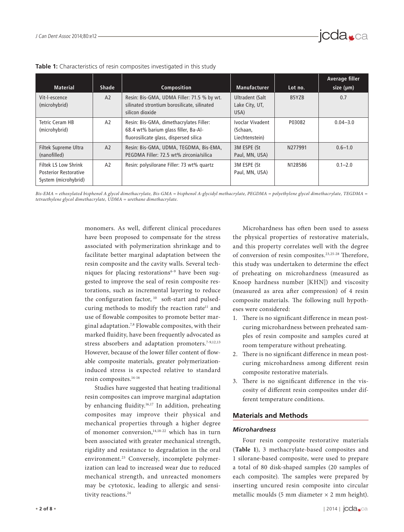| <b>Material</b>                                                                     | <b>Shade</b> | Composition                                                                                                               | <b>Manufacturer</b>                            | Lot no. | Average filler<br>size (µm) |
|-------------------------------------------------------------------------------------|--------------|---------------------------------------------------------------------------------------------------------------------------|------------------------------------------------|---------|-----------------------------|
| Vit-l-escence<br>(microhybrid)                                                      | A2           | Resin: Bis-GMA, UDMA Filler: 71.5 % by wt.<br>silinated strontium borosilicate, silinated<br>silicon dioxide              | Ultradent (Salt<br>Lake City, UT,<br>USA)      | B5YZB   | 0.7                         |
| Tetric Ceram HB<br>(microhybrid)                                                    | A2           | Resin: Bis-GMA, dimethacrylates Filler:<br>68.4 wt% barium glass filler, Ba-Al-<br>fluorosilicate glass, dispersed silica | Ivoclar Vivadent<br>(Schaan,<br>Liechtenstein) | P03082  | $0.04 - 3.0$                |
| Filtek Supreme Ultra<br>(nanofilled)                                                | A2           | Resin: Bis-GMA, UDMA, TEGDMA, Bis-EMA,<br>PEGDMA Filler: 72.5 wt% zirconia/silica                                         | 3M ESPE (St<br>Paul, MN, USA)                  | N277991 | $0.6 - 1.0$                 |
| <b>Filtek LS Low Shrink</b><br><b>Posterior Restorative</b><br>System (microhybrid) | A2           | Resin: polysilorane Filler: 73 wt% quartz                                                                                 | 3M ESPE (St<br>Paul, MN, USA)                  | N128586 | $0.1 - 2.0$                 |

**Table 1:** Characteristics of resin composites investigated in this study

Bis-EMA = ethoxylated bisphenol A glycol dimethacrylate, Bis-GMA = bisphenol A-glycidyl methacrylate, PEGDMA = polyethylene glycol dimethacrylate, TEGDMA = *tetraethylene glycol dimethacrylate, UDMA = urethane dimethacrylate.* 

> monomers. As well, different clinical procedures have been proposed to compensate for the stress associated with polymerization shrinkage and to facilitate better marginal adaptation between the resin composite and the cavity walls. Several techniques for placing restorations<sup>6-9</sup> have been suggested to improve the seal of resin composite restorations, such as incremental layering to reduce the configuration factor,  $10$  soft-start and pulsedcuring methods to modify the reaction rate<sup>11</sup> and use of flowable composites to promote better marginal adaptation.7,8 Flowable composites, with their marked fluidity, have been frequently advocated as stress absorbers and adaptation promoters.<sup>7-9,12,13</sup> However, because of the lower filler content of flowable composite materials, greater polymerizationinduced stress is expected relative to standard resin composites.14-16

> Studies have suggested that heating traditional resin composites can improve marginal adaptation by enhancing fluidity.16,17 In addition, preheating composites may improve their physical and mechanical properties through a higher degree of monomer conversion,<sup>14,18-22</sup> which has in turn been associated with greater mechanical strength, rigidity and resistance to degradation in the oral environment.<sup>23</sup> Conversely, incomplete polymerization can lead to increased wear due to reduced mechanical strength, and unreacted monomers may be cytotoxic, leading to allergic and sensitivity reactions.<sup>24</sup>

Microhardness has often been used to assess the physical properties of restorative materials, and this property correlates well with the degree of conversion of resin composites.23,25-28 Therefore, this study was undertaken to determine the effect of preheating on microhardness (measured as Knoop hardness number [KHN]) and viscosity (measured as area after compression) of 4 resin composite materials. The following null hypotheses were considered:

- 1. There is no significant difference in mean postcuring microhardness between preheated samples of resin composite and samples cured at room temperature without preheating.
- 2. There is no significant difference in mean postcuring microhardness among different resin composite restorative materials.
- 3. There is no significant difference in the viscosity of different resin composites under different temperature conditions.

#### **Materials and Methods**

#### *Microhardness*

Four resin composite restorative materials (**Table 1**), 3 methacrylate-based composites and 1 silorane-based composite, were used to prepare a total of 80 disk-shaped samples (20 samples of each composite). The samples were prepared by inserting uncured resin composite into circular metallic moulds (5 mm diameter  $\times$  2 mm height).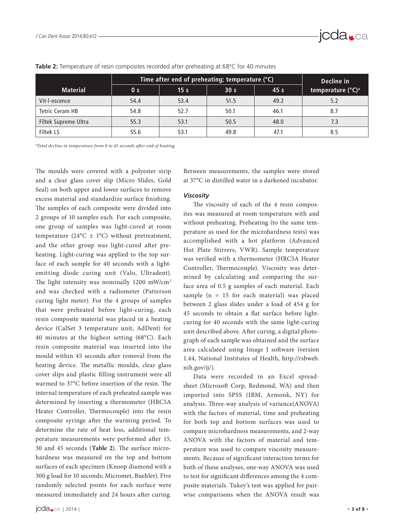

|                        | Time after end of preheating; temperature $(°C)$ | Decline in      |                 |                 |                               |
|------------------------|--------------------------------------------------|-----------------|-----------------|-----------------|-------------------------------|
| <b>Material</b>        | 0 <sub>s</sub>                                   | 15 <sub>s</sub> | 30 <sub>s</sub> | 45 <sub>s</sub> | temperature (°C) <sup>a</sup> |
| Vit-l-escence          | 54.4                                             | 53.4            | 51.5            | 49.2            | 5.2                           |
| <b>Tetric Ceram HB</b> | 54.8                                             | 52.7            | 50.1            | 46.1            | 8.7                           |
| Filtek Supreme Ultra   | 55.3                                             | 53.1            | 50.5            | 48.0            | 7.3                           |
| Filtek LS              | 55.6                                             | 53.1            | 49.8            | 47.1            | 8.5                           |

#### **Table 2:** Temperature of resin composites recorded after preheating at 68°C for 40 minutes

*a Total decline in temperature from 0 to 45 seconds after end of heating.*

The moulds were covered with a polyester strip and a clear glass cover slip (Micro Slides, Gold Seal) on both upper and lower surfaces to remove excess material and standardize surface finishing. The samples of each composite were divided into 2 groups of 10 samples each. For each composite, one group of samples was light-cured at room temperature (24 $^{\circ}$ C ± 1 $^{\circ}$ C) without pretreatment, and the other group was light-cured after preheating. Light-curing was applied to the top surface of each sample for 40 seconds with a lightemitting diode curing unit (Valo, Ultradent). The light intensity was nominally 1200 mW/cm<sup>2</sup> and was checked with a radiometer (Patterson curing light meter). For the 4 groups of samples that were preheated before light-curing, each resin composite material was placed in a heating device (CalSet 3 temperature unit, AdDent) for 40 minutes at the highest setting (68°C). Each resin composite material was inserted into the mould within 45 seconds after removal from the heating device. The metallic moulds, clear glass cover slips and plastic filling instrument were all warmed to 37°C before insertion of the resin. The internal temperature of each preheated sample was determined by inserting a thermometer (HRC5A Heater Controller, Thermocouple) into the resin composite syringe after the warming period. To determine the rate of heat loss, additional temperature measurements were performed after 15, 30 and 45 seconds (**Table 2**). The surface microhardness was measured on the top and bottom surfaces of each specimen (Knoop diamond with a 300 g load for 10 seconds; Micromet, Buehler). Five randomly selected points for each surface were measured immediately and 24 hours after curing.

Between measurements, the samples were stored at 37°C in distilled water in a darkened incubator.

#### *Viscosity*

The viscosity of each of the 4 resin composites was measured at room temperature with and without preheating. Preheating (to the same temperature as used for the microhardness tests) was accomplished with a hot platform (Advanced Hot Plate Stirrers, VWR). Sample temperature was verified with a thermometer (HRC5A Heater Controller, Thermocouple). Viscosity was determined by calculating and comparing the surface area of 0.5 g samples of each material. Each sample ( $n = 15$  for each material) was placed between 2 glass slides under a load of 454 g for 45 seconds to obtain a flat surface before lightcuring for 40 seconds with the same light-curing unit described above. After curing, a digital photograph of each sample was obtained and the surface area calculated using Image J software (version 1.44, National Institutes of Health, http://rsbweb. nih.gov/ij/).

Data were recorded in an Excel spreadsheet (Microsoft Corp, Redmond, WA) and then imported into SPSS (IBM, Armonk, NY) for analysis. Three-way analysis of variance(ANOVA) with the factors of material, time and preheating for both top and bottom surfaces was used to compare microhardness measurements, and 2-way ANOVA with the factors of material and temperature was used to compare viscosity measurements. Because of significant interaction terms for both of these analyses, one-way ANOVA was used to test for significant differences among the 4 composite materials. Tukey's test was applied for pairwise comparisons when the ANOVA result was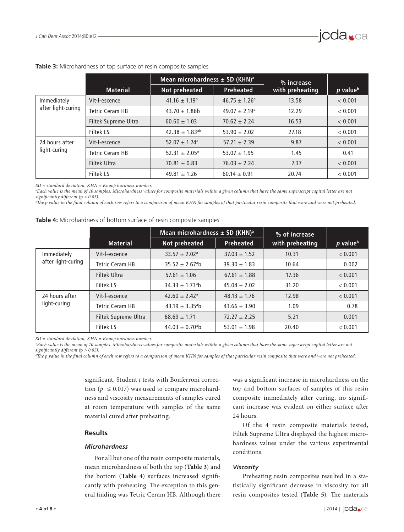|                                   |                        | Mean microhardness $\pm$ SD (KHN) <sup>a</sup> |                          | % increase      |                        |
|-----------------------------------|------------------------|------------------------------------------------|--------------------------|-----------------|------------------------|
|                                   | <b>Material</b>        | Not preheated                                  | <b>Preheated</b>         | with preheating | $p$ value <sup>b</sup> |
| Immediately<br>after light-curing | Vit-l-escence          | $41.16 \pm 1.19$ <sup>a</sup>                  | $46.75 \pm 1.26^a$       | 13.58           | < 0.001                |
|                                   | Tetric Ceram HB        | $43.70 \pm 1.86$                               | $49.07 \pm 2.19^{\circ}$ | 12.29           | < 0.001                |
|                                   | Filtek Supreme Ultra   | $60.60 \pm 1.03$                               | $70.62 \pm 2.24$         | 16.53           | < 0.001                |
|                                   | <b>Filtek LS</b>       | $42.38 \pm 1.83^{ab}$                          | $53.90 \pm 2.02$         | 27.18           | < 0.001                |
| 24 hours after                    | Vit-l-escence          | $52.07 \pm 1.74$ <sup>a</sup>                  | $57.21 \pm 2.39$         | 9.87            | < 0.001                |
| light-curing                      | <b>Tetric Ceram HB</b> | $52.31 \pm 2.05^{\circ}$                       | $53.07 \pm 1.95$         | 1.45            | 0.41                   |
|                                   | Filtek Ultra           | $70.81 \pm 0.83$                               | $76.03 \pm 2.24$         | 7.37            | < 0.001                |
|                                   | <b>Filtek LS</b>       | $49.81 \pm 1.26$                               | $60.14 \pm 0.91$         | 20.74           | < 0.001                |

#### **Table 3:** Microhardness of top surface of resin composite samples

*SD = standard deviation, KHN = Knoop hardness number.*

*a Each value is the mean of 10 samples. Microhardness values for composite materials within a given column that have the same superscript capital letter are not significantly different (*p *> 0.05).*

*b The* p *value in the final column of each row refers to a comparison of mean KHN for samples of that particular resin composite that were and were not preheated.*

| Table 4: Microhardness of bottom surface of resin composite samples |
|---------------------------------------------------------------------|
|---------------------------------------------------------------------|

|                                   |                        | Mean microhardness $\pm$ SD (KHN) <sup>a</sup> |                  | % of increase   |                        |
|-----------------------------------|------------------------|------------------------------------------------|------------------|-----------------|------------------------|
|                                   | <b>Material</b>        | Not preheated                                  | <b>Preheated</b> | with preheating | $p$ value <sup>b</sup> |
| Immediately<br>after light-curing | Vit-l-escence          | $33.57 \pm 2.02^a$                             | $37.03 \pm 1.52$ | 10.31           | < 0.001                |
|                                   | <b>Tetric Ceram HB</b> | $35.52 \pm 2.67$ <sup>a</sup> b                | $39.30 \pm 1.83$ | 10.64           | 0.002                  |
|                                   | Filtek Ultra           | $57.61 \pm 1.06$                               | $67.61 \pm 1.88$ | 17.36           | < 0.001                |
|                                   | <b>Filtek LS</b>       | $34.33 \pm 1.73$ <sup>a</sup> b                | $45.04 \pm 2.02$ | 31.20           | < 0.001                |
| 24 hours after                    | Vit-l-escence          | $42.60 \pm 2.42$ <sup>a</sup>                  | $48.13 \pm 1.76$ | 12.98           | < 0.001                |
| light-curing                      | <b>Tetric Ceram HB</b> | $43.19 \pm 3.35$ <sup>a</sup> b                | $43.66 \pm 3.90$ | 1.09            | 0.78                   |
|                                   | Filtek Supreme Ultra   | $68.69 \pm 1.71$                               | $72.27 \pm 2.25$ | 5.21            | 0.001                  |
|                                   | <b>Filtek LS</b>       | $44.03 \pm 0.70$ <sup>a</sup> b                | $53.01 \pm 1.98$ | 20.40           | < 0.001                |

*SD = standard deviation, KHN = Knoop hardness number.*

*a Each value is the mean of 10 samples. Microhardness values for composite materials within a given column that have the same superscript capital letter are not significantly different (*p *> 0.05). b*

*The p value in the final column of each row refers to a comparison of mean KHN for samples of that particular resin composite that were and were not preheated.*

significant. Student *t* tests with Bonferroni correction ( $p \le 0.017$ ) was used to compare microhardness and viscosity measurements of samples cured at room temperature with samples of the same material cured after preheating. `

#### **Results**

#### *Microhardness*

For all but one of the resin composite materials, mean microhardness of both the top (**Table 3**) and the bottom (**Table 4**) surfaces increased significantly with preheating. The exception to this general finding was Tetric Ceram HB. Although there was a significant increase in microhardness on the top and bottom surfaces of samples of this resin composite immediately after curing, no significant increase was evident on either surface after 24 hours.

Of the 4 resin composite materials tested, Filtek Supreme Ultra displayed the highest microhardness values under the various experimental conditions.

#### *Viscosity*

Preheating resin composites resulted in a statistically significant decrease in viscosity for all resin composites tested (**Table 5**). The materials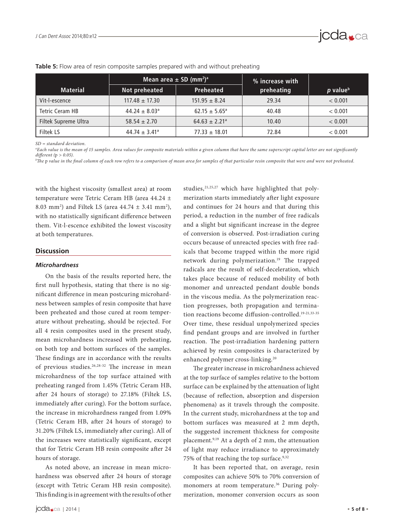

|                      | Mean area $\pm$ SD (mm <sup>2</sup> ) <sup>a</sup> |                               | % increase with |                      |
|----------------------|----------------------------------------------------|-------------------------------|-----------------|----------------------|
| <b>Material</b>      | Not preheated                                      | <b>Preheated</b>              | preheating      | p value <sup>b</sup> |
| Vit-l-escence        | $117.48 \pm 17.30$                                 | $151.95 \pm 8.24$             | 29.34           | < 0.001              |
| Tetric Ceram HB      | $44.24 \pm 8.03$ <sup>a</sup>                      | $62.15 \pm 5.65^{\circ}$      | 40.48           | < 0.001              |
| Filtek Supreme Ultra | $58.54 \pm 2.70$                                   | $64.63 \pm 2.21$ <sup>a</sup> | 10.40           | < 0.001              |
| Filtek LS            | $44.74 \pm 3.41^{\circ}$                           | $77.33 \pm 18.01$             | 72.84           | < 0.001              |

#### **Table 5:** Flow area of resin composite samples prepared with and without preheating

*SD = standard deviation.*

*a Each value is the mean of 15 samples. Area values for composite materials within a given column that have the same superscript capital letter are not significantly different (*p *> 0.05).*

*b The* p *value in the final column of each row refers to a comparison of mean area for samples of that particular resin composite that were and were not preheated.*

with the highest viscosity (smallest area) at room temperature were Tetric Ceram HB (area 44.24 ± 8.03 mm<sup>2</sup>) and Filtek LS (area  $44.74 \pm 3.41$  mm<sup>2</sup>), with no statistically significant difference between them. Vit-l-escence exhibited the lowest viscosity at both temperatures.

#### **Discussion**

#### *Microhardness*

On the basis of the results reported here, the first null hypothesis, stating that there is no significant difference in mean postcuring microhardness between samples of resin composite that have been preheated and those cured at room temperature without preheating, should be rejected. For all 4 resin composites used in the present study, mean microhardness increased with preheating, on both top and bottom surfaces of the samples. These findings are in accordance with the results of previous studies.<sup>26,28-32</sup> The increase in mean microhardness of the top surface attained with preheating ranged from 1.45% (Tetric Ceram HB, after 24 hours of storage) to 27.18% (Filtek LS, immediately after curing). For the bottom surface, the increase in microhardness ranged from 1.09% (Tetric Ceram HB, after 24 hours of storage) to 31.20% (Filtek LS, immediately after curing). All of the increases were statistically significant, except that for Tetric Ceram HB resin composite after 24 hours of storage.

As noted above, an increase in mean microhardness was observed after 24 hours of storage (except with Tetric Ceram HB resin composite). This finding is in agreement with the results of other merization starts immediately after light exposure and continues for 24 hours and that during this period, a reduction in the number of free radicals and a slight but significant increase in the degree of conversion is observed. Post-irradiation curing occurs because of unreacted species with free radicals that become trapped within the more rigid network during polymerization.<sup>19</sup> The trapped radicals are the result of self-deceleration, which takes place because of reduced mobility of both monomer and unreacted pendant double bonds in the viscous media. As the polymerization reaction progresses, both propagation and termination reactions become diffusion-controlled.<sup>19-21,33-35</sup> Over time, these residual unpolymerized species find pendant groups and are involved in further reaction. The post-irradiation hardening pattern achieved by resin composites is characterized by enhanced polymer cross-linking.20

studies,<sup>21,25,27</sup> which have highlighted that poly-

The greater increase in microhardness achieved at the top surface of samples relative to the bottom surface can be explained by the attenuation of light (because of reflection, absorption and dispersion phenomena) as it travels through the composite. In the current study, microhardness at the top and bottom surfaces was measured at 2 mm depth, the suggested increment thickness for composite placement.9,19 At a depth of 2 mm, the attenuation of light may reduce irradiance to approximately 75% of that reaching the top surface.<sup>9,32</sup>

It has been reported that, on average, resin composites can achieve 50% to 70% conversion of monomers at room temperature.<sup>36</sup> During polymerization, monomer conversion occurs as soon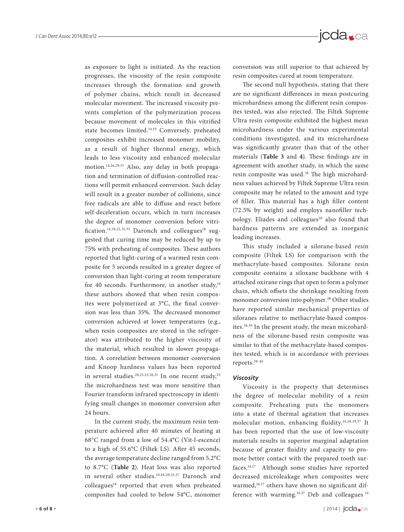as exposure to light is initiated. As the reaction progresses, the viscosity of the resin composite increases through the formation and growth of polymer chains, which result in decreased molecular movement. The increased viscosity prevents completion of the polymerization process because movement of molecules in this vitrified state becomes limited.14,19 Conversely, preheated composites exhibit increased monomer mobility, as a result of higher thermal energy, which leads to less viscosity and enhanced molecular motion.14,26,29,37 Also, any delay in both propagation and termination of diffusion-controlled reactions will permit enhanced conversion. Such delay will result in a greater number of collisions, since free radicals are able to diffuse and react before self-deceleration occurs, which in turn increases the degree of monomer conversion before vitrification.<sup>14,19,22,31,33</sup> Daronch and colleagues<sup>18</sup> suggested that curing time may be reduced by up to 75% with preheating of composites. These authors reported that light-curing of a warmed resin composite for 5 seconds resulted in a greater degree of conversion than light-curing at room temperature for 40 seconds. Furthermore, in another study, $19$ these authors showed that when resin composites were polymerized at 3°C, the final conversion was less than 35%. The decreased monomer conversion achieved at lower temperatures (e.g., when resin composites are stored in the refrigerator) was attributed to the higher viscosity of the material, which resulted in slower propagation. A correlation between monomer conversion and Knoop hardness values has been reported in several studies.<sup>20,25,23,30,31</sup> In one recent study,<sup>25</sup> the microhardness test was more sensitive than Fourier transform infrared spectroscopy in identifying small changes in monomer conversion after 24 hours.

In the current study, the maximum resin temperature achieved after 40 minutes of heating at 68°C ranged from a low of 54.4°C (Vit-l-escence) to a high of 55.6°C (Filtek LS). After 45 seconds, the average temperature decline ranged from 5.2°C to 8.7°C (**Table 2**). Heat loss was also reported in several other studies.19,28,29,33,37 Daronch and colleagues<sup>18</sup> reported that even when preheated composites had cooled to below 54°C, monomer

conversion was still superior to that achieved by resin composites cured at room temperature.

The second null hypothesis, stating that there are no significant differences in mean postcuring microhardness among the different resin composites tested, was also rejected. The Filtek Supreme Ultra resin composite exhibited the highest mean microhardness under the various experimental conditions investigated, and its microhardness was significantly greater than that of the other materials (**Table 3** and **4**). These findings are in agreement with another study, in which the same resin composite was used.<sup>28</sup> The high microhardness values achieved by Filtek Supreme Ultra resin composite may be related to the amount and type of filler. This material has a high filler content (72.5% by weight) and employs nanofiller technology. Eliades and colleagues<sup>20</sup> also found that hardness patterns are extended as inorganic loading increases.

This study included a silorane-based resin composite (Filtek LS) for comparison with the methacrylate-based composites. Silorane resin composite contains a siloxane backbone with 4 attached oxirane rings that open to form a polymer chain, which offsets the shrinkage resulting from monomer conversion into polymer.<sup>38</sup> Other studies have reported similar mechanical properties of siloranes relative to methacrylate-based composites.38,39 In the present study, the mean microhardness of the silorane-based resin composite was similar to that of the methacrylate-based composites tested, which is in accordance with previous reports.38-40

#### *Viscosity*

Viscosity is the property that determines the degree of molecular mobility of a resin composite. Preheating puts the monomers into a state of thermal agitation that increases molecular motion, enhancing fluidity.14,26,29,37 It has been reported that the use of low-viscosity materials results in superior marginal adaptation because of greater fluidity and capacity to promote better contact with the prepared tooth surfaces.14,17 Although some studies have reported decreased microleakage when composites were warmed,<sup>16,17</sup> others have shown no significant difference with warming.<sup>14,37</sup> Deb and colleagues  $14$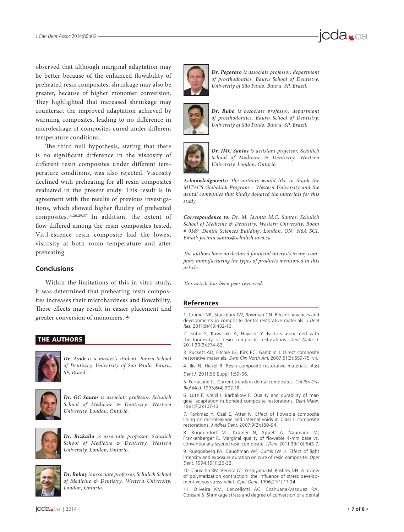

The third null hypothesis, stating that there is no significant difference in the viscosity of different resin composites under different temperature conditions, was also rejected. Viscosity declined with preheating for all resin composites evaluated in the present study. This result is in agreement with the results of previous investigations, which showed higher fluidity of preheated composites.14,26,29,37 In addition, the extent of flow differed among the resin composites tested. Vit-l-escence resin composite had the lowest viscosity at both room temperature and after preheating.

#### **Conclusions**

Within the limitations of this in vitro study, it was determined that preheating resin composites increases their microhardness and flowability. These effects may result in easier placement and greater conversion of monomers.  $\ast$ 

#### THE AUTHORS



*Dr. Ayub is a master's student, Bauru School of Dentistry, University of São Paulo, Bauru, SP, Brazil.*



*Dr. GC Santos is associate professor, Schulich School of Medicine & Dentistry, Western University, London, Ontario.*



*Dr. Rizkalla is associate professor, Schulich School of Medicine & Dentistry, Western University, London, Ontario.*



*Dr. Bohay is associate professor, Schulich School of Medicine & Dentistry, Western University, London, Ontario.*



*Dr. Pegoraro is associate professor, department of prosthodontics, Bauru School of Dentistry, University of São Paulo, Bauru, SP, Brazil.*

jcda<sub>sca</sub>



*Dr. Rubo is associate professor, department of prosthodontics, Bauru School of Dentistry, University of São Paulo, Bauru, SP, Brazil.*



*Dr. JMC Santos is assistant professor, Schulich School of Medicine & Dentistry, Western University, London, Ontario*

*Acknowledgments: The authors would like to thank the MITACS Globalink Program – Western University and the dental companies that kindly donated the materials for this study.*

*Correspondence to: Dr. M. Jacinta M.C. Santos, Schulich School of Medicine & Dentistry, Western University, Room # 0149, Dental Sciences Building, London, ON N6A 5C1. Email: jacinta.santos@schulich.uwo.ca*

*The authors have no declared financial interests in any company manufacturing the types of products mentioned in this article.*

*This article has been peer reviewed.*

#### **References**

1. Cramer NB, Stansbury JW, Bowman CN. Recent advances and developments in composite dental restorative materials. J Dent Res. 2011;9(4)0:402-16.

2. Kubo S, Kawasaki A, Hayashi Y. Factors associated with the longevity of resin composite restorations. Dent Mater J. 2011;30(3):374-83.

3. Puckett AD, Fitchie JG, Kirk PC, Gamblin J. Direct composite restorative materials. Dent Clin North Am. 2007;51(3):659-75, vii.

4. Ilie N, Hickel R. Resin composite restorative materials. Aust Dent J. 2011;56 Suppl 1:59-66.

5. Ferracane JL. Current trends in dental composites. Crit Rev Oral Biol Med. 1995;6(4):302-18.

6. Lutz F, Krejci I, Barbakow F. Quality and durability of marginal adaptation in bonded composite restorations. Dent Mater. 1991;7(2):107-13.

7. Korkmaz Y, Ozel E, Attar N. Effect of flowable composite lining on microleakage and internal voids in Class II composite restorations. J Adhes Dent. 2007;9(2):189-94.

8. Roggendorf MJ, Krämer N, Appelt A, Naumann M, Frankenberger R. Marginal quality of flowable 4-mm base vs. conventionally layered resin composite. J Dent. 2011;39(10):643-7.

9. Rueggeberg FA, Caughman WF, Curtis JW Jr. Effect of light intensity and exposure duration on cure of resin composite. Oper Dent. 1994;19(1):26-32.

10. Carvalho RM, Pereira JC, Yoshiyama M, Pashley DH. A review of polymerization contraction: the influence of stress development versus stress relief. Oper Dent. 1996;21(1):17-24.

11. Oliveira KM, Lancellotti AC, Ccahuana-Vásquez RA, Consani S. Shrinkage stress and degree of conversion of a dental